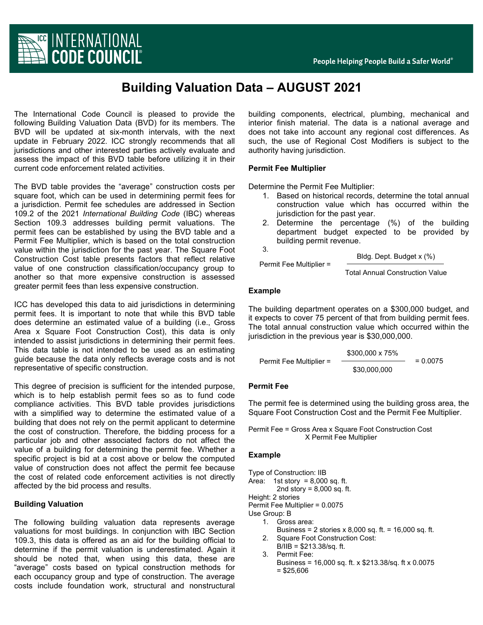

# **Building Valuation Data – AUGUST 2021**

The International Code Council is pleased to provide the following Building Valuation Data (BVD) for its members. The BVD will be updated at six-month intervals, with the next update in February 2022. ICC strongly recommends that all jurisdictions and other interested parties actively evaluate and assess the impact of this BVD table before utilizing it in their current code enforcement related activities.

The BVD table provides the "average" construction costs per square foot, which can be used in determining permit fees for a jurisdiction. Permit fee schedules are addressed in Section 109.2 of the 2021 *International Building Code* (IBC) whereas Section 109.3 addresses building permit valuations. The permit fees can be established by using the BVD table and a Permit Fee Multiplier, which is based on the total construction value within the jurisdiction for the past year. The Square Foot Construction Cost table presents factors that reflect relative value of one construction classification/occupancy group to another so that more expensive construction is assessed greater permit fees than less expensive construction.

ICC has developed this data to aid jurisdictions in determining permit fees. It is important to note that while this BVD table does determine an estimated value of a building (i.e., Gross Area x Square Foot Construction Cost), this data is only intended to assist jurisdictions in determining their permit fees. This data table is not intended to be used as an estimating guide because the data only reflects average costs and is not representative of specific construction.

This degree of precision is sufficient for the intended purpose, which is to help establish permit fees so as to fund code compliance activities. This BVD table provides jurisdictions with a simplified way to determine the estimated value of a building that does not rely on the permit applicant to determine the cost of construction. Therefore, the bidding process for a particular job and other associated factors do not affect the value of a building for determining the permit fee. Whether a specific project is bid at a cost above or below the computed value of construction does not affect the permit fee because the cost of related code enforcement activities is not directly affected by the bid process and results.

#### **Building Valuation**

The following building valuation data represents average valuations for most buildings. In conjunction with IBC Section 109.3, this data is offered as an aid for the building official to determine if the permit valuation is underestimated. Again it should be noted that, when using this data, these are "average" costs based on typical construction methods for each occupancy group and type of construction. The average costs include foundation work, structural and nonstructural

building components, electrical, plumbing, mechanical and interior finish material. The data is a national average and does not take into account any regional cost differences. As such, the use of Regional Cost Modifiers is subject to the authority having jurisdiction.

# **Permit Fee Multiplier**

Determine the Permit Fee Multiplier:

- 1. Based on historical records, determine the total annual construction value which has occurred within the jurisdiction for the past year.
- 2. Determine the percentage (%) of the building department budget expected to be provided by building permit revenue.

Permit Fee Multiplier =

Bldg. Dept. Budget x (%)

Total Annual Construction Value

# **Example**

3.

The building department operates on a \$300,000 budget, and it expects to cover 75 percent of that from building permit fees. The total annual construction value which occurred within the jurisdiction in the previous year is \$30,000,000.

Permit Free Multiplier = 
$$
\frac{$300,000 \times 75\%}{\$30,000,000} = 0.0075
$$

#### **Permit Fee**

The permit fee is determined using the building gross area, the Square Foot Construction Cost and the Permit Fee Multiplier.

Permit Fee = Gross Area x Square Foot Construction Cost X Permit Fee Multiplier

#### **Example**

```
Type of Construction: IIB
Area: 1st story = 8,000 sq. ft.
         2nd story = 8,000 sq. ft. Height: 2 stories
Permit Fee Multiplier= 0.0075
Use Group: B
    1. Gross area:
         Business = 2 stories x 8,000 sq. ft. = 16,000 sq. ft. 2. Square Foot Construction Cost:
         B/IIB = $213.38/sq. ft.
```
- 3. Permit Fee:
	- Business = 16,000 sq. ft. x \$213.38/sq. ft x 0.0075  $=$  \$25,606